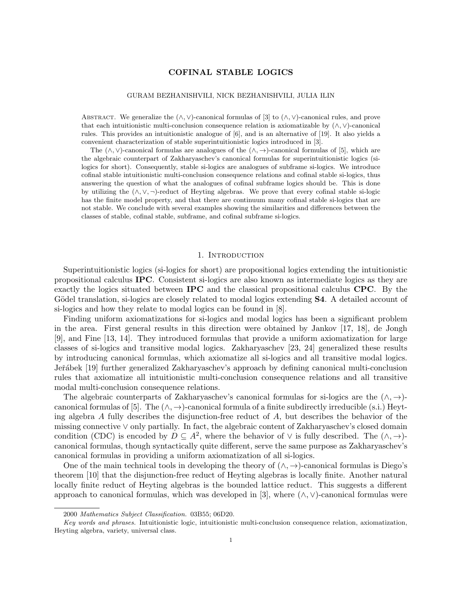# COFINAL STABLE LOGICS

### GURAM BEZHANISHVILI, NICK BEZHANISHVILI, JULIA ILIN

ABSTRACT. We generalize the  $(\wedge, \vee)$ -canonical formulas of [3] to  $(\wedge, \vee)$ -canonical rules, and prove that each intuitionistic multi-conclusion consequence relation is axiomatizable by  $(\wedge, \vee)$ -canonical rules. This provides an intuitionistic analogue of [6], and is an alternative of [19]. It also yields a convenient characterization of stable superintuitionistic logics introduced in [3].

The  $(\wedge, \vee)$ -canonical formulas are analogues of the  $(\wedge, \rightarrow)$ -canonical formulas of [5], which are the algebraic counterpart of Zakharyaschev's canonical formulas for superintuitionistic logics (silogics for short). Consequently, stable si-logics are analogues of subframe si-logics. We introduce cofinal stable intuitionistic multi-conclusion consequence relations and cofinal stable si-logics, thus answering the question of what the analogues of cofinal subframe logics should be. This is done by utilizing the  $(\wedge, \vee, \neg)$ -reduct of Heyting algebras. We prove that every cofinal stable si-logic has the finite model property, and that there are continuum many cofinal stable si-logics that are not stable. We conclude with several examples showing the similarities and differences between the classes of stable, cofinal stable, subframe, and cofinal subframe si-logics.

### 1. INTRODUCTION

Superintuitionistic logics (si-logics for short) are propositional logics extending the intuitionistic propositional calculus IPC. Consistent si-logics are also known as intermediate logics as they are exactly the logics situated between IPC and the classical propositional calculus CPC. By the Gödel translation, si-logics are closely related to modal logics extending **S4**. A detailed account of si-logics and how they relate to modal logics can be found in [8].

Finding uniform axiomatizations for si-logics and modal logics has been a significant problem in the area. First general results in this direction were obtained by Jankov [17, 18], de Jongh [9], and Fine [13, 14]. They introduced formulas that provide a uniform axiomatization for large classes of si-logics and transitive modal logics. Zakharyaschev [23, 24] generalized these results by introducing canonical formulas, which axiomatize all si-logics and all transitive modal logics. Jeřábek [19] further generalized Zakharyaschev's approach by defining canonical multi-conclusion rules that axiomatize all intuitionistic multi-conclusion consequence relations and all transitive modal multi-conclusion consequence relations.

The algebraic counterparts of Zakharyaschev's canonical formulas for si-logics are the  $(\wedge, \rightarrow)$ canonical formulas of [5]. The  $(\wedge, \rightarrow)$ -canonical formula of a finite subdirectly irreducible (s.i.) Heyting algebra A fully describes the disjunction-free reduct of  $A$ , but describes the behavior of the missing connective ∨ only partially. In fact, the algebraic content of Zakharyaschev's closed domain condition (CDC) is encoded by  $D \subseteq A^2$ , where the behavior of  $\vee$  is fully described. The  $(\wedge, \rightarrow)$ canonical formulas, though syntactically quite different, serve the same purpose as Zakharyaschev's canonical formulas in providing a uniform axiomatization of all si-logics.

One of the main technical tools in developing the theory of  $(\wedge, \rightarrow)$ -canonical formulas is Diego's theorem [10] that the disjunction-free reduct of Heyting algebras is locally finite. Another natural locally finite reduct of Heyting algebras is the bounded lattice reduct. This suggests a different approach to canonical formulas, which was developed in [3], where  $(\wedge, \vee)$ -canonical formulas were

<sup>2000</sup> Mathematics Subject Classification. 03B55; 06D20.

Key words and phrases. Intuitionistic logic, intuitionistic multi-conclusion consequence relation, axiomatization, Heyting algebra, variety, universal class.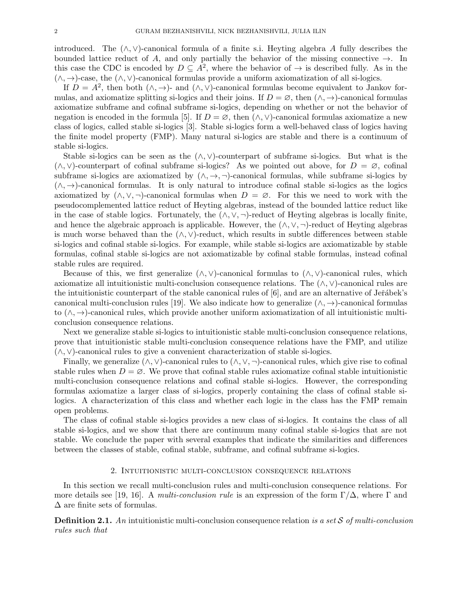introduced. The  $(\wedge, \vee)$ -canonical formula of a finite s.i. Heyting algebra A fully describes the bounded lattice reduct of A, and only partially the behavior of the missing connective  $\rightarrow$ . In this case the CDC is encoded by  $D \subseteq A^2$ , where the behavior of  $\rightarrow$  is described fully. As in the  $(\wedge, \rightarrow)$ -case, the  $(\wedge, \vee)$ -canonical formulas provide a uniform axiomatization of all si-logics.

If  $D = A^2$ , then both  $(\wedge, \rightarrow)$ - and  $(\wedge, \vee)$ -canonical formulas become equivalent to Jankov formulas, and axiomatize splitting si-logics and their joins. If  $D = \emptyset$ , then  $(\wedge, \rightarrow)$ -canonical formulas axiomatize subframe and cofinal subframe si-logics, depending on whether or not the behavior of negation is encoded in the formula [5]. If  $D = \emptyset$ , then  $(\wedge, \vee)$ -canonical formulas axiomatize a new class of logics, called stable si-logics [3]. Stable si-logics form a well-behaved class of logics having the finite model property (FMP). Many natural si-logics are stable and there is a continuum of stable si-logics.

Stable si-logics can be seen as the  $(\wedge, \vee)$ -counterpart of subframe si-logics. But what is the  $(\wedge, \vee)$ -counterpart of cofinal subframe si-logics? As we pointed out above, for  $D = \emptyset$ , cofinal subframe si-logics are axiomatized by  $(\wedge, \rightarrow, \neg)$ -canonical formulas, while subframe si-logics by  $(\wedge, \rightarrow)$ -canonical formulas. It is only natural to introduce cofinal stable si-logics as the logics axiomatized by  $(\wedge, \vee, \neg)$ -canonical formulas when  $D = \emptyset$ . For this we need to work with the pseudocomplemented lattice reduct of Heyting algebras, instead of the bounded lattice reduct like in the case of stable logics. Fortunately, the  $(\wedge, \vee, \neg)$ -reduct of Heyting algebras is locally finite, and hence the algebraic approach is applicable. However, the  $(\wedge, \vee, \neg)$ -reduct of Heyting algebras is much worse behaved than the  $(\wedge, \vee)$ -reduct, which results in subtle differences between stable si-logics and cofinal stable si-logics. For example, while stable si-logics are axiomatizable by stable formulas, cofinal stable si-logics are not axiomatizable by cofinal stable formulas, instead cofinal stable rules are required.

Because of this, we first generalize  $(\wedge, \vee)$ -canonical formulas to  $(\wedge, \vee)$ -canonical rules, which axiomatize all intuitionistic multi-conclusion consequence relations. The  $(\wedge, \vee)$ -canonical rules are the intuitionistic counterpart of the stable canonical rules of  $[6]$ , and are an alternative of Je $\check{\text{re}}$ abek's canonical multi-conclusion rules [19]. We also indicate how to generalize  $(\wedge, \rightarrow)$ -canonical formulas to (∧, →)-canonical rules, which provide another uniform axiomatization of all intuitionistic multiconclusion consequence relations.

Next we generalize stable si-logics to intuitionistic stable multi-conclusion consequence relations, prove that intuitionistic stable multi-conclusion consequence relations have the FMP, and utilize  $(\wedge, \vee)$ -canonical rules to give a convenient characterization of stable si-logics.

Finally, we generalize  $(\wedge, \vee)$ -canonical rules to  $(\wedge, \vee, \neg)$ -canonical rules, which give rise to cofinal stable rules when  $D = \emptyset$ . We prove that cofinal stable rules axiomatize cofinal stable intuitionistic multi-conclusion consequence relations and cofinal stable si-logics. However, the corresponding formulas axiomatize a larger class of si-logics, properly containing the class of cofinal stable silogics. A characterization of this class and whether each logic in the class has the FMP remain open problems.

The class of cofinal stable si-logics provides a new class of si-logics. It contains the class of all stable si-logics, and we show that there are continuum many cofinal stable si-logics that are not stable. We conclude the paper with several examples that indicate the similarities and differences between the classes of stable, cofinal stable, subframe, and cofinal subframe si-logics.

#### 2. Intuitionistic multi-conclusion consequence relations

In this section we recall multi-conclusion rules and multi-conclusion consequence relations. For more details see [19, 16]. A multi-conclusion rule is an expression of the form  $\Gamma/\Delta$ , where  $\Gamma$  and  $\Delta$  are finite sets of formulas.

**Definition 2.1.** An intuitionistic multi-conclusion consequence relation is a set  $S$  of multi-conclusion rules such that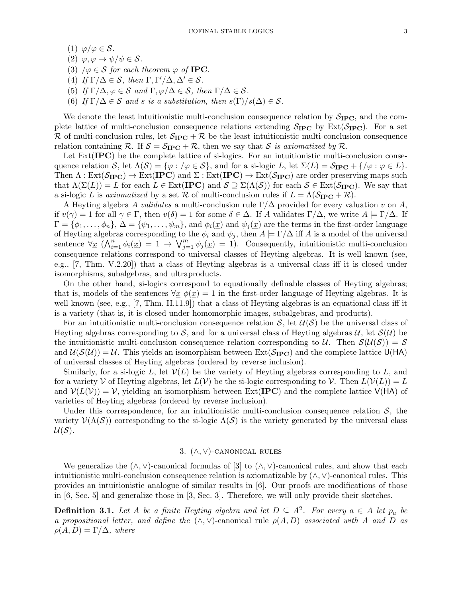- (1)  $\varphi/\varphi \in \mathcal{S}$ .
- (2)  $\varphi, \varphi \to \psi/\psi \in \mathcal{S}$ .
- (3)  $/\varphi \in \mathcal{S}$  for each theorem  $\varphi$  of **IPC**.
- (4) If  $\Gamma/\Delta \in \mathcal{S}$ , then  $\Gamma, \Gamma'/\Delta, \Delta' \in \mathcal{S}$ .
- (5) If  $\Gamma/\Delta, \varphi \in \mathcal{S}$  and  $\Gamma, \varphi/\Delta \in \mathcal{S}$ , then  $\Gamma/\Delta \in \mathcal{S}$ .
- (6) If  $\Gamma/\Delta \in \mathcal{S}$  and s is a substitution, then  $s(\Gamma)/s(\Delta) \in \mathcal{S}$ .

We denote the least intuitionistic multi-conclusion consequence relation by  $S_{\text{IPC}}$ , and the complete lattice of multi-conclusion consequence relations extending  $S_{\text{IPC}}$  by  $\text{Ext}(S_{\text{IPC}})$ . For a set R of multi-conclusion rules, let  $S_{\text{IPC}} + \mathcal{R}$  be the least intuitionistic multi-conclusion consequence relation containing R. If  $S = S_{\text{IPC}} + \mathcal{R}$ , then we say that S is axiomatized by R.

Let  $Ext(IPC)$  be the complete lattice of si-logics. For an intuitionistic multi-conclusion consequence relation S, let  $\Lambda(S) = \{ \varphi : \varphi \in S \}$ , and for a si-logic L, let  $\Sigma(L) = \mathcal{S}_{\text{IPC}} + \{ \varphi : \varphi \in L \}$ . Then  $\Lambda : \text{Ext}(\mathcal{S}_{\text{IPC}}) \to \text{Ext}(\text{IPC})$  and  $\Sigma : \text{Ext}(\text{IPC}) \to \text{Ext}(\mathcal{S}_{\text{IPC}})$  are order preserving maps such that  $\Lambda(\Sigma(L)) = L$  for each  $L \in \text{Ext}(\text{IPC})$  and  $S \supseteq \Sigma(\Lambda(S))$  for each  $S \in \text{Ext}(\mathcal{S}_{\text{IPC}})$ . We say that a si-logic L is axiomatized by a set R of multi-conclusion rules if  $L = \Lambda(\mathcal{S}_{\text{IPC}} + \mathcal{R})$ .

A Heyting algebra A validates a multi-conclusion rule  $\Gamma/\Delta$  provided for every valuation v on A, if  $v(\gamma) = 1$  for all  $\gamma \in \Gamma$ , then  $v(\delta) = 1$  for some  $\delta \in \Delta$ . If A validates  $\Gamma/\Delta$ , we write  $A \models \Gamma/\Delta$ . If  $\Gamma = {\phi_1, \ldots, \phi_n}, \Delta = {\psi_1, \ldots, \psi_m}, \text{ and } \phi_i(\underline{x}) \text{ and } \psi_j(\underline{x}) \text{ are the terms in the first-order language}$ of Heyting algebras corresponding to the  $\phi_i$  and  $\psi_j$ , then  $A \models \Gamma/\Delta$  iff A is a model of the universal sentence  $\forall \underline{x} \ (\bigwedge_{i=1}^n \phi_i(\underline{x}) = 1 \rightarrow \bigvee_{j=1}^m \psi_j(\underline{x}) = 1)$ . Consequently, intuitionistic multi-conclusion consequence relations correspond to universal classes of Heyting algebras. It is well known (see, e.g., [7, Thm. V.2.20]) that a class of Heyting algebras is a universal class iff it is closed under isomorphisms, subalgebras, and ultraproducts.

On the other hand, si-logics correspond to equationally definable classes of Heyting algebras; that is, models of the sentences  $\forall x \phi(x) = 1$  in the first-order language of Heyting algebras. It is well known (see, e.g., [7, Thm. II.11.9]) that a class of Heyting algebras is an equational class iff it is a variety (that is, it is closed under homomorphic images, subalgebras, and products).

For an intuitionistic multi-conclusion consequence relation  $S$ , let  $\mathcal{U}(S)$  be the universal class of Heyting algebras corresponding to S, and for a universal class of Heyting algebras  $\mathcal{U}$ , let  $\mathcal{S}(\mathcal{U})$  be the intuitionistic multi-conclusion consequence relation corresponding to U. Then  $\mathcal{S}(\mathcal{U}(\mathcal{S})) = \mathcal{S}$ and  $U(S(\mathcal{U})) = \mathcal{U}$ . This yields an isomorphism between  $Ext(\mathcal{S}_{\text{IPC}})$  and the complete lattice  $U(HA)$ of universal classes of Heyting algebras (ordered by reverse inclusion).

Similarly, for a si-logic L, let  $\mathcal{V}(L)$  be the variety of Heyting algebras corresponding to L, and for a variety V of Heyting algebras, let  $L(V)$  be the si-logic corresponding to V. Then  $L(V(L)) = L$ and  $V(L(V)) = V$ , yielding an isomorphism between Ext(**IPC**) and the complete lattice  $V(HA)$  of varieties of Heyting algebras (ordered by reverse inclusion).

Under this correspondence, for an intuitionistic multi-conclusion consequence relation  $S$ , the variety  $\mathcal{V}(\Lambda(\mathcal{S}))$  corresponding to the si-logic  $\Lambda(\mathcal{S})$  is the variety generated by the universal class  $U(S)$ .

# 3.  $(\wedge, \vee)$ -CANONICAL RULES

We generalize the  $(\wedge, \vee)$ -canonical formulas of [3] to  $(\wedge, \vee)$ -canonical rules, and show that each intuitionistic multi-conclusion consequence relation is axiomatizable by (∧, ∨)-canonical rules. This provides an intuitionistic analogue of similar results in [6]. Our proofs are modifications of those in [6, Sec. 5] and generalize those in [3, Sec. 3]. Therefore, we will only provide their sketches.

**Definition 3.1.** Let A be a finite Heyting algebra and let  $D \subseteq A^2$ . For every  $a \in A$  let  $p_a$  be a propositional letter, and define the  $(\wedge, \vee)$ -canonical rule  $\rho(A, D)$  associated with A and D as  $\rho(A, D) = \Gamma/\Delta$ , where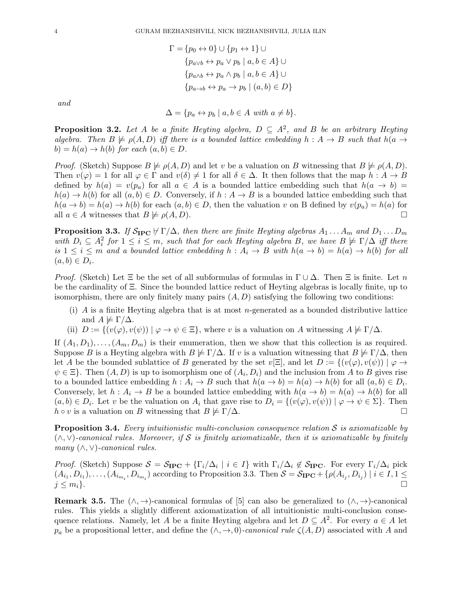$$
\Gamma = \{p_0 \leftrightarrow 0\} \cup \{p_1 \leftrightarrow 1\} \cup
$$
  

$$
\{p_{a \lor b} \leftrightarrow p_a \lor p_b \mid a, b \in A\} \cup
$$
  

$$
\{p_{a \land b} \leftrightarrow p_a \land p_b \mid a, b \in A\} \cup
$$
  

$$
\{p_{a \to b} \leftrightarrow p_a \to p_b \mid (a, b) \in D\}
$$

and

$$
\Delta = \{ p_a \leftrightarrow p_b \mid a, b \in A \text{ with } a \neq b \}.
$$

**Proposition 3.2.** Let A be a finite Heyting algebra,  $D \subseteq A^2$ , and B be an arbitrary Heyting algebra. Then  $B \not\models \rho(A, D)$  iff there is a bounded lattice embedding  $h : A \rightarrow B$  such that  $h(a \rightarrow b)$  $b) = h(a) \rightarrow h(b)$  for each  $(a, b) \in D$ .

*Proof.* (Sketch) Suppose  $B \not\models \rho(A, D)$  and let v be a valuation on B witnessing that  $B \not\models \rho(A, D)$ . Then  $v(\varphi) = 1$  for all  $\varphi \in \Gamma$  and  $v(\delta) \neq 1$  for all  $\delta \in \Delta$ . It then follows that the map  $h : A \to B$ defined by  $h(a) = v(p_a)$  for all  $a \in A$  is a bounded lattice embedding such that  $h(a \to b)$  $h(a) \to h(b)$  for all  $(a, b) \in D$ . Conversely, if  $h : A \to B$  is a bounded lattice embedding such that  $h(a \to b) = h(a) \to h(b)$  for each  $(a, b) \in D$ , then the valuation v on B defined by  $v(p_a) = h(a)$  for all  $a \in A$  witnesses that  $B \not\models \rho(A, D)$ .

**Proposition 3.3.** If  $S_{\text{IPC}} \nvDash \Gamma/\Delta$ , then there are finite Heyting algebras  $A_1 \ldots A_m$  and  $D_1 \ldots D_m$ with  $D_i \subseteq A_i^2$  for  $1 \leq i \leq m$ , such that for each Heyting algebra B, we have  $B \not\models \Gamma/\Delta$  iff there is  $1 \leq i \leq m$  and a bounded lattice embedding  $h : A_i \to B$  with  $h(a \to b) = h(a) \to h(b)$  for all  $(a, b) \in D_i$ .

*Proof.* (Sketch) Let  $\Xi$  be the set of all subformulas of formulas in  $\Gamma \cup \Delta$ . Then  $\Xi$  is finite. Let n be the cardinality of Ξ. Since the bounded lattice reduct of Heyting algebras is locally finite, up to isomorphism, there are only finitely many pairs  $(A, D)$  satisfying the following two conditions:

- (i) A is a finite Heyting algebra that is at most n-generated as a bounded distributive lattice and  $A \not\models \Gamma/\Delta$ .
- (ii)  $D := \{(v(\varphi), v(\psi)) \mid \varphi \to \psi \in \Xi\}$ , where v is a valuation on A witnessing  $A \not\models \Gamma/\Delta$ .

If  $(A_1, D_1), \ldots, (A_m, D_m)$  is their enumeration, then we show that this collection is as required. Suppose B is a Heyting algebra with  $B \not\models \Gamma/\Delta$ . If v is a valuation witnessing that  $B \not\models \Gamma/\Delta$ , then let A be the bounded sublattice of B generated by the set  $v[\Xi]$ , and let  $D := \{ (v(\varphi), v(\psi)) \mid \varphi \to$  $\psi \in \Xi$ . Then  $(A, D)$  is up to isomorphism one of  $(A_i, D_i)$  and the inclusion from A to B gives rise to a bounded lattice embedding  $h: A_i \to B$  such that  $h(a \to b) = h(a) \to h(b)$  for all  $(a, b) \in D_i$ . Conversely, let  $h : A_i \to B$  be a bounded lattice embedding with  $h(a \to b) = h(a) \to h(b)$  for all  $(a, b) \in D_i$ . Let v be the valuation on  $A_i$  that gave rise to  $D_i = \{(v(\varphi), v(\psi)) \mid \varphi \to \psi \in \Sigma\}$ . Then  $h \circ v$  is a valuation on B witnessing that  $B \not\models \Gamma/\Delta$ .

**Proposition 3.4.** Every intuitionistic multi-conclusion consequence relation  $S$  is axiomatizable by  $(\wedge, \vee)$ -canonical rules. Moreover, if S is finitely axiomatizable, then it is axiomatizable by finitely many  $(\wedge, \vee)$ -canonical rules.

*Proof.* (Sketch) Suppose  $S = S_{\text{IPC}} + {\{\Gamma_i/\Delta_i \mid i \in I\}}$  with  $\Gamma_i/\Delta_i \notin S_{\text{IPC}}$ . For every  $\Gamma_i/\Delta_i$  pick  $(A_{i_1}, D_{i_1}), \ldots, (A_{i_{m_i}}, D_{i_{m_i}})$  according to Proposition 3.3. Then  $S = S_{\text{IPC}} + \{\rho(A_{i_j}, D_{i_j}) \mid i \in I, 1 \leq j \leq n_j\}$  $j \leq m_i$ .

**Remark 3.5.** The  $(\wedge, \rightarrow)$ -canonical formulas of [5] can also be generalized to  $(\wedge, \rightarrow)$ -canonical rules. This yields a slightly different axiomatization of all intuitionistic multi-conclusion consequence relations. Namely, let A be a finite Heyting algebra and let  $D \subseteq A^2$ . For every  $a \in A$  let  $p_a$  be a propositional letter, and define the  $(\wedge, \rightarrow, 0)$ -canonical rule  $\zeta(A, D)$  associated with A and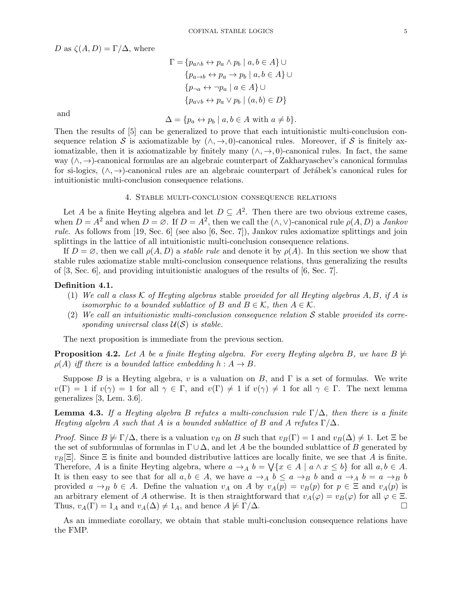D as  $\zeta(A, D) = \Gamma/\Delta$ , where

$$
\Gamma = \{p_{a \wedge b} \leftrightarrow p_a \wedge p_b \mid a, b \in A\} \cup
$$

$$
\{p_{a \to b} \leftrightarrow p_a \to p_b \mid a, b \in A\} \cup
$$

$$
\{p_{\neg a} \leftrightarrow \neg p_a \mid a \in A\} \cup
$$

$$
\{p_{a \vee b} \leftrightarrow p_a \vee p_b \mid (a, b) \in D\}
$$

and

$$
\Delta = \{ p_a \leftrightarrow p_b \mid a, b \in A \text{ with } a \neq b \}.
$$

Then the results of [5] can be generalized to prove that each intuitionistic multi-conclusion consequence relation S is axiomatizable by  $(\wedge, \rightarrow, 0)$ -canonical rules. Moreover, if S is finitely axiomatizable, then it is axiomatizable by finitely many  $(\wedge, \rightarrow, 0)$ -canonical rules. In fact, the same way (∧, →)-canonical formulas are an algebraic counterpart of Zakharyaschev's canonical formulas for si-logics, (∧, →)-canonical rules are an algebraic counterpart of Jeřábek's canonical rules for intuitionistic multi-conclusion consequence relations.

### 4. Stable multi-conclusion consequence relations

Let A be a finite Heyting algebra and let  $D \subseteq A^2$ . Then there are two obvious extreme cases, when  $D = A^2$  and when  $D = \emptyset$ . If  $D = A^2$ , then we call the  $(\wedge, \vee)$ -canonical rule  $\rho(A, D)$  a *Jankov* rule. As follows from [19, Sec. 6] (see also [6, Sec. 7]), Jankov rules axiomatize splittings and join splittings in the lattice of all intuitionistic multi-conclusion consequence relations.

If  $D = \emptyset$ , then we call  $\rho(A, D)$  a *stable rule* and denote it by  $\rho(A)$ . In this section we show that stable rules axiomatize stable multi-conclusion consequence relations, thus generalizing the results of [3, Sec. 6], and providing intuitionistic analogues of the results of [6, Sec. 7].

# Definition 4.1.

- (1) We call a class  $K$  of Heyting algebras stable provided for all Heyting algebras  $A, B, if A$  is isomorphic to a bounded sublattice of B and  $B \in \mathcal{K}$ , then  $A \in \mathcal{K}$ .
- (2) We call an intuitionistic multi-conclusion consequence relation  $S$  stable provided its corresponding universal class  $\mathcal{U}(\mathcal{S})$  is stable.

The next proposition is immediate from the previous section.

**Proposition 4.2.** Let A be a finite Heyting algebra. For every Heyting algebra B, we have  $B \not\models$  $\rho(A)$  iff there is a bounded lattice embedding  $h: A \to B$ .

Suppose B is a Heyting algebra, v is a valuation on B, and  $\Gamma$  is a set of formulas. We write  $v(\Gamma) = 1$  if  $v(\gamma) = 1$  for all  $\gamma \in \Gamma$ , and  $v(\Gamma) \neq 1$  if  $v(\gamma) \neq 1$  for all  $\gamma \in \Gamma$ . The next lemma generalizes [3, Lem. 3.6].

**Lemma 4.3.** If a Heyting algebra B refutes a multi-conclusion rule  $\Gamma/\Delta$ , then there is a finite Heyting algebra A such that A is a bounded sublattice of B and A refutes  $\Gamma/\Delta$ .

*Proof.* Since  $B \not\models \Gamma/\Delta$ , there is a valuation  $v_B$  on B such that  $v_B(\Gamma) = 1$  and  $v_B(\Delta) \neq 1$ . Let  $\Xi$  be the set of subformulas of formulas in  $\Gamma \cup \Delta$ , and let A be the bounded sublattice of B generated by  $v_B[\Xi]$ . Since  $\Xi$  is finite and bounded distributive lattices are locally finite, we see that A is finite. Therefore, A is a finite Heyting algebra, where  $a \to_A b = \bigvee \{x \in A \mid a \wedge x \leq b\}$  for all  $a, b \in A$ . It is then easy to see that for all  $a, b \in A$ , we have  $a \to_A b \le a \to_B b$  and  $a \to_A b = a \to_B b$ provided  $a \to_B b \in A$ . Define the valuation  $v_A$  on A by  $v_A(p) = v_B(p)$  for  $p \in \Xi$  and  $v_A(p)$  is an arbitrary element of A otherwise. It is then straightforward that  $v_A(\varphi) = v_B(\varphi)$  for all  $\varphi \in \Xi$ . Thus,  $v_A(\Gamma) = 1_A$  and  $v_A(\Delta) \neq 1_A$ , and hence  $A \not\models \Gamma/\Delta$ .

As an immediate corollary, we obtain that stable multi-conclusion consequence relations have the FMP.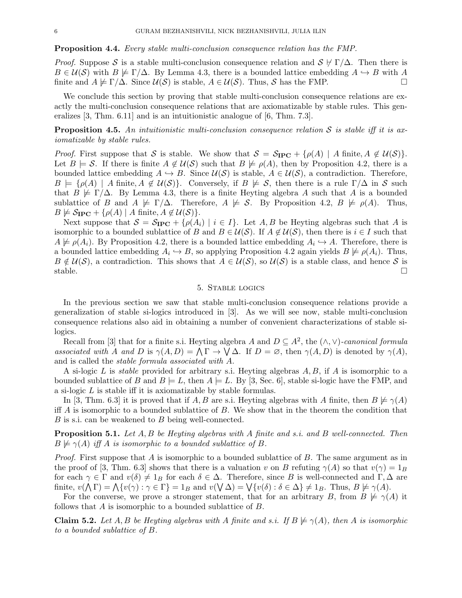#### Proposition 4.4. Every stable multi-conclusion consequence relation has the FMP.

*Proof.* Suppose S is a stable multi-conclusion consequence relation and  $S \nvdash \Gamma/\Delta$ . Then there is  $B \in \mathcal{U}(\mathcal{S})$  with  $B \not\models \Gamma/\Delta$ . By Lemma 4.3, there is a bounded lattice embedding  $A \hookrightarrow B$  with A finite and  $A \not\models \Gamma/\Delta$ . Since  $\mathcal{U}(\mathcal{S})$  is stable,  $A \in \mathcal{U}(\mathcal{S})$ . Thus,  $\mathcal{S}$  has the FMP.

We conclude this section by proving that stable multi-conclusion consequence relations are exactly the multi-conclusion consequence relations that are axiomatizable by stable rules. This generalizes [3, Thm. 6.11] and is an intuitionistic analogue of [6, Thm. 7.3].

**Proposition 4.5.** An intuitionistic multi-conclusion consequence relation S is stable iff it is axiomatizable by stable rules.

*Proof.* First suppose that S is stable. We show that  $S = S_{\text{IPC}} + {\rho(A) \mid A \text{ finite, } A \notin \mathcal{U}(S)}$ . Let  $B \models S$ . If there is finite  $A \notin U(S)$  such that  $B \not\models \rho(A)$ , then by Proposition 4.2, there is a bounded lattice embedding  $A \hookrightarrow B$ . Since  $\mathcal{U}(S)$  is stable,  $A \in \mathcal{U}(S)$ , a contradiction. Therefore,  $B \models \{\rho(A) \mid A \text{ finite}, A \notin \mathcal{U}(\mathcal{S})\}.$  Conversely, if  $B \not\models S$ , then there is a rule  $\Gamma/\Delta$  in S such that  $B \not\models \Gamma/\Delta$ . By Lemma 4.3, there is a finite Heyting algebra A such that A is a bounded sublattice of B and  $A \not\models \Gamma/\Delta$ . Therefore,  $A \not\models S$ . By Proposition 4.2,  $B \not\models \rho(A)$ . Thus,  $B \not\models S_{\text{IPC}} + \{\rho(A) \mid A \text{ finite}, A \not\in \mathcal{U}(\mathcal{S})\}.$ 

Next suppose that  $S = S_{\text{IPC}} + {\rho(A_i) | i \in I}$ . Let A, B be Heyting algebras such that A is isomorphic to a bounded sublattice of B and  $B \in \mathcal{U}(\mathcal{S})$ . If  $A \notin \mathcal{U}(\mathcal{S})$ , then there is  $i \in I$  such that  $A \not\models \rho(A_i)$ . By Proposition 4.2, there is a bounded lattice embedding  $A_i \hookrightarrow A$ . Therefore, there is a bounded lattice embedding  $A_i \hookrightarrow B$ , so applying Proposition 4.2 again yields  $B \not\models \rho(A_i)$ . Thus,  $B \notin \mathcal{U}(\mathcal{S})$ , a contradiction. This shows that  $A \in \mathcal{U}(\mathcal{S})$ , so  $\mathcal{U}(\mathcal{S})$  is a stable class, and hence S is stable.  $\square$ 

## 5. Stable logics

In the previous section we saw that stable multi-conclusion consequence relations provide a generalization of stable si-logics introduced in [3]. As we will see now, stable multi-conclusion consequence relations also aid in obtaining a number of convenient characterizations of stable silogics.

Recall from [3] that for a finite s.i. Heyting algebra A and  $D \subseteq A^2$ , the  $(\wedge, \vee)$ -canonical formula associated with A and D is  $\gamma(A, D) = \Lambda \Gamma \to \overline{\mathsf{V}} \Delta$ . If  $D = \emptyset$ , then  $\gamma(A, D)$  is denoted by  $\gamma(A)$ , and is called the stable formula associated with A.

A si-logic L is *stable* provided for arbitrary s.i. Heyting algebras  $A, B$ , if  $A$  is isomorphic to a bounded sublattice of B and  $B \models L$ , then  $A \models L$ . By [3, Sec. 6], stable si-logic have the FMP, and a si-logic L is stable iff it is axiomatizable by stable formulas.

In [3, Thm. 6.3] it is proved that if A, B are s.i. Heyting algebras with A finite, then  $B \not\models \gamma(A)$ iff  $\vec{A}$  is isomorphic to a bounded sublattice of  $\vec{B}$ . We show that in the theorem the condition that B is s.i. can be weakened to B being well-connected.

**Proposition 5.1.** Let  $A, B$  be Heyting algebras with  $A$  finite and s.i. and  $B$  well-connected. Then  $B \not\models \gamma(A)$  iff A is isomorphic to a bounded sublattice of B.

*Proof.* First suppose that A is isomorphic to a bounded sublattice of B. The same argument as in the proof of [3, Thm. 6.3] shows that there is a valuation v on B refuting  $\gamma(A)$  so that  $v(\gamma) = 1_B$ for each  $\gamma \in \Gamma$  and  $v(\delta) \neq 1_B$  for each  $\delta \in \Delta$ . Therefore, since B is well-connected and  $\Gamma, \Delta$  are finite,  $v(\bigwedge \Gamma) = \bigwedge \{v(\gamma) : \gamma \in \Gamma\} = 1_B$  and  $v(\bigvee \Delta) = \bigvee \{v(\delta) : \delta \in \Delta\} \neq 1_B$ . Thus,  $B \not\models \gamma(A)$ .

For the converse, we prove a stronger statement, that for an arbitrary B, from  $B \not\models \gamma(A)$  it follows that A is isomorphic to a bounded sublattice of B.

**Claim 5.2.** Let A, B be Heyting algebras with A finite and s.i. If  $B \not\models \gamma(A)$ , then A is isomorphic to a bounded sublattice of B.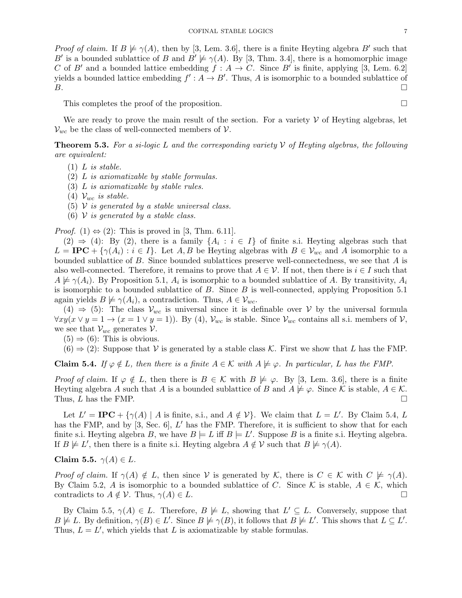*Proof of claim.* If  $B \not\models \gamma(A)$ , then by [3, Lem. 3.6], there is a finite Heyting algebra B' such that B' is a bounded sublattice of B and  $B' \not\models \gamma(A)$ . By [3, Thm. 3.4], there is a homomorphic image C of B' and a bounded lattice embedding  $f : A \to C$ . Since B' is finite, applying [3, Lem. 6.2] yields a bounded lattice embedding  $f' : A \to B'$ . Thus, A is isomorphic to a bounded sublattice of  $\overline{B}$ .

This completes the proof of the proposition.

We are ready to prove the main result of the section. For a variety  $V$  of Heyting algebras, let  $V_{wc}$  be the class of well-connected members of  $V$ .

**Theorem 5.3.** For a si-logic L and the corresponding variety V of Heyting algebras, the following are equivalent:

- $(1)$  L is stable.
- (2) L is axiomatizable by stable formulas.
- (3) L is axiomatizable by stable rules.
- (4)  $\mathcal{V}_{wc}$  is stable.
- (5)  $\mathcal V$  is generated by a stable universal class.
- (6)  $V$  is generated by a stable class.

*Proof.* (1)  $\Leftrightarrow$  (2): This is proved in [3, Thm. 6.11].

 $(2) \Rightarrow (4)$ : By  $(2)$ , there is a family  $\{A_i : i \in I\}$  of finite s.i. Heyting algebras such that  $L = \text{IPC} + \{\gamma(A_i) : i \in I\}$ . Let A, B be Heyting algebras with  $B \in \mathcal{V}_{wc}$  and A isomorphic to a bounded sublattice of B. Since bounded sublattices preserve well-connectedness, we see that A is also well-connected. Therefore, it remains to prove that  $A \in \mathcal{V}$ . If not, then there is  $i \in I$  such that  $A \not\models \gamma(A_i)$ . By Proposition 5.1,  $A_i$  is isomorphic to a bounded sublattice of A. By transitivity,  $A_i$ is isomorphic to a bounded sublattice of  $B$ . Since  $B$  is well-connected, applying Proposition 5.1 again yields  $B \not\models \gamma(A_i)$ , a contradiction. Thus,  $A \in \mathcal{V}_{wc}$ .

 $(4) \Rightarrow (5)$ : The class  $\mathcal{V}_{wc}$  is universal since it is definable over V by the universal formula  $\forall xy(x \lor y = 1 \to (x = 1 \lor y = 1))$ . By (4),  $\mathcal{V}_{wc}$  is stable. Since  $\mathcal{V}_{wc}$  contains all s.i. members of  $\mathcal{V}$ , we see that  $V_{wc}$  generates  $V$ .

 $(5) \Rightarrow (6)$ : This is obvious.

 $(6) \Rightarrow (2)$ : Suppose that V is generated by a stable class K. First we show that L has the FMP.

**Claim 5.4.** If  $\varphi \notin L$ , then there is a finite  $A \in \mathcal{K}$  with  $A \not\models \varphi$ . In particular, L has the FMP.

*Proof of claim.* If  $\varphi \notin L$ , then there is  $B \in \mathcal{K}$  with  $B \not\models \varphi$ . By [3, Lem. 3.6], there is a finite Heyting algebra A such that A is a bounded sublattice of B and  $A \not\models \varphi$ . Since K is stable,  $A \in \mathcal{K}$ . Thus, L has the FMP.  $\Box$ 

Let  $L' = \text{IPC} + {\gamma(A) | A \text{ is finite, s.i., and } A \notin V}$ . We claim that  $L = L'$ . By Claim 5.4, L has the FMP, and by  $[3, \text{Sec. 6}], L'$  has the FMP. Therefore, it is sufficient to show that for each finite s.i. Heyting algebra B, we have  $B \models L$  iff  $B \models L'$ . Suppose B is a finite s.i. Heyting algebra. If  $B \not\models L'$ , then there is a finite s.i. Heyting algebra  $A \notin V$  such that  $B \not\models \gamma(A)$ .

Claim 5.5.  $\gamma(A) \in L$ .

Proof of claim. If  $\gamma(A) \notin L$ , then since V is generated by K, there is  $C \in \mathcal{K}$  with  $C \not\models \gamma(A)$ . By Claim 5.2, A is isomorphic to a bounded sublattice of C. Since K is stable,  $A \in \mathcal{K}$ , which contradicts to  $A \notin \mathcal{V}$ . Thus,  $\gamma(A) \in L$ .

By Claim 5.5,  $\gamma(A) \in L$ . Therefore,  $B \not\models L$ , showing that  $L' \subseteq L$ . Conversely, suppose that  $B \not\models L$ . By definition,  $\gamma(B) \in L'$ . Since  $B \not\models \gamma(B)$ , it follows that  $B \not\models L'$ . This shows that  $L \subseteq L'$ . Thus,  $L = L'$ , which yields that L is axiomatizable by stable formulas.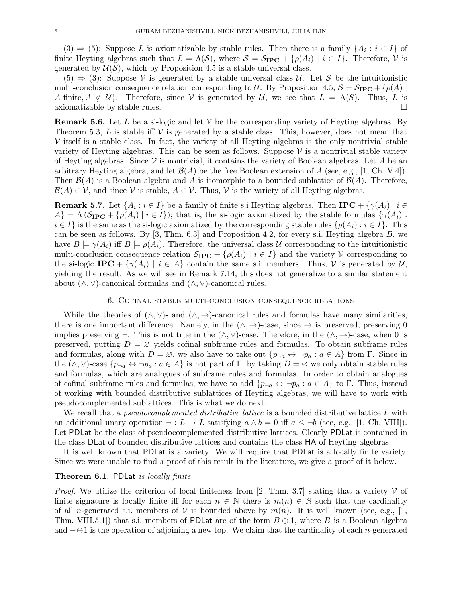$(3) \Rightarrow (5)$ : Suppose L is axiomatizable by stable rules. Then there is a family  $\{A_i : i \in I\}$  of finite Heyting algebras such that  $L = \Lambda(\mathcal{S})$ , where  $\mathcal{S} = \mathcal{S}_{\text{IPC}} + {\rho(A_i) | i \in I}$ . Therefore,  $\mathcal{V}$  is generated by  $U(S)$ , which by Proposition 4.5 is a stable universal class.

 $(5) \Rightarrow (3)$ : Suppose V is generated by a stable universal class U. Let S be the intuitionistic multi-conclusion consequence relation corresponding to U. By Proposition 4.5,  $S = S_{\text{IPC}} + \{\rho(A) |$ A finite,  $A \notin U$ . Therefore, since V is generated by U, we see that  $L = \Lambda(S)$ . Thus, L is axiomatizable by stable rules.  $\Box$ 

**Remark 5.6.** Let L be a si-logic and let V be the corresponding variety of Heyting algebras. By Theorem 5.3,  $L$  is stable iff  $V$  is generated by a stable class. This, however, does not mean that  $\mathcal V$  itself is a stable class. In fact, the variety of all Heyting algebras is the only nontrivial stable variety of Heyting algebras. This can be seen as follows. Suppose  $\mathcal V$  is a nontrivial stable variety of Heyting algebras. Since  $V$  is nontrivial, it contains the variety of Boolean algebras. Let A be an arbitrary Heyting algebra, and let  $\mathcal{B}(A)$  be the free Boolean extension of A (see, e.g., [1, Ch. V.4]). Then  $\mathcal{B}(A)$  is a Boolean algebra and A is isomorphic to a bounded sublattice of  $\mathcal{B}(A)$ . Therefore,  $\mathcal{B}(A) \in \mathcal{V}$ , and since  $\mathcal{V}$  is stable,  $A \in \mathcal{V}$ . Thus,  $\mathcal{V}$  is the variety of all Heyting algebras.

**Remark 5.7.** Let  $\{A_i : i \in I\}$  be a family of finite s.i Heyting algebras. Then  $IPC + \{\gamma(A_i) \mid i \in I\}$  $A\} = \Lambda \left( \mathcal{S}_{\text{IPC}} + \{\rho(A_i) \mid i \in I \} \right)$ ; that is, the si-logic axiomatized by the stable formulas  $\{\gamma(A_i) :$  $i \in I$  is the same as the si-logic axiomatized by the corresponding stable rules  $\{\rho(A_i) : i \in I\}$ . This can be seen as follows. By  $[3, Thm. 6.3]$  and Proposition 4.2, for every s.i. Heyting algebra B, we have  $B \models \gamma(A_i)$  iff  $B \models \rho(A_i)$ . Therefore, the universal class U corresponding to the intuitionistic multi-conclusion consequence relation  $S_{\text{IPC}} + \{\rho(A_i) \mid i \in I\}$  and the variety V corresponding to the si-logic IPC +  $\{\gamma(A_i) \mid i \in A\}$  contain the same s.i. members. Thus, V is generated by U, yielding the result. As we will see in Remark 7.14, this does not generalize to a similar statement about  $(\wedge, \vee)$ -canonical formulas and  $(\wedge, \vee)$ -canonical rules.

#### 6. Cofinal stable multi-conclusion consequence relations

While the theories of  $(\wedge, \vee)$ - and  $(\wedge, \rightarrow)$ -canonical rules and formulas have many similarities, there is one important difference. Namely, in the  $(\wedge, \rightarrow)$ -case, since  $\rightarrow$  is preserved, preserving 0 implies preserving  $\neg$ . This is not true in the  $(\wedge, \vee)$ -case. Therefore, in the  $(\wedge, \rightarrow)$ -case, when 0 is preserved, putting  $D = \emptyset$  yields cofinal subframe rules and formulas. To obtain subframe rules and formulas, along with  $D = \emptyset$ , we also have to take out  $\{p_{\neg a} \leftrightarrow \neg p_a : a \in A\}$  from  $\Gamma$ . Since in the  $(\wedge, \vee)$ -case  $\{p_{\neg a} \leftrightarrow \neg p_a : a \in A\}$  is not part of  $\Gamma$ , by taking  $D = \varnothing$  we only obtain stable rules and formulas, which are analogues of subframe rules and formulas. In order to obtain analogues of cofinal subframe rules and formulas, we have to add  $\{p_{\neg a} \leftrightarrow \neg p_a : a \in A\}$  to  $\Gamma$ . Thus, instead of working with bounded distributive sublattices of Heyting algebras, we will have to work with pseudocomplemented sublattices. This is what we do next.

We recall that a *pseudocomplemented distributive lattice* is a bounded distributive lattice L with an additional unary operation  $\neg: L \to L$  satisfying  $a \wedge b = 0$  iff  $a \leq \neg b$  (see, e.g., [1, Ch. VIII]). Let PDLat be the class of pseudocomplemented distributive lattices. Clearly PDLat is contained in the class DLat of bounded distributive lattices and contains the class HA of Heyting algebras.

It is well known that PDLat is a variety. We will require that PDLat is a locally finite variety. Since we were unable to find a proof of this result in the literature, we give a proof of it below.

### Theorem 6.1. PDLat is locally finite.

*Proof.* We utilize the criterion of local finiteness from [2, Thm. 3.7] stating that a variety  $V$  of finite signature is locally finite iff for each  $n \in \mathbb{N}$  there is  $m(n) \in \mathbb{N}$  such that the cardinality of all n-generated s.i. members of V is bounded above by  $m(n)$ . It is well known (see, e.g., [1, Thm. VIII.5.1) that s.i. members of PDLat are of the form  $B \oplus 1$ , where B is a Boolean algebra and  $-\oplus 1$  is the operation of adjoining a new top. We claim that the cardinality of each n-generated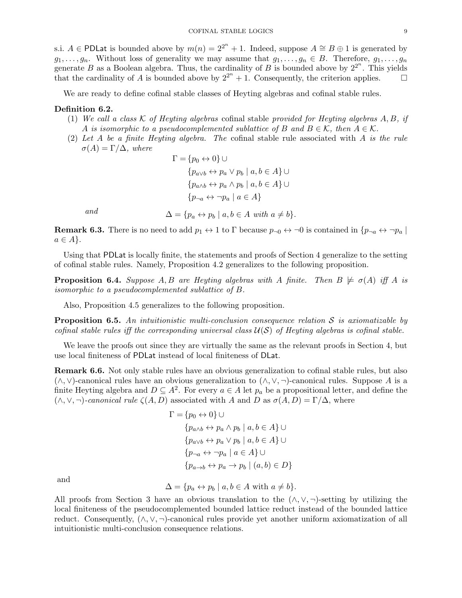s.i.  $A \in \text{PDLat}$  is bounded above by  $m(n) = 2^{2^n} + 1$ . Indeed, suppose  $A \cong B \oplus 1$  is generated by  $g_1, \ldots, g_n$ . Without loss of generality we may assume that  $g_1, \ldots, g_n \in B$ . Therefore,  $g_1, \ldots, g_n$ generate B as a Boolean algebra. Thus, the cardinality of B is bounded above by  $2^{2^n}$ . This yields that the cardinality of A is bounded above by  $2^{2^n} + 1$ . Consequently, the criterion applies.  $\square$ 

We are ready to define cofinal stable classes of Heyting algebras and cofinal stable rules.

### Definition 6.2.

- (1) We call a class K of Heyting algebras cofinal stable provided for Heyting algebras  $A, B, if$ A is isomorphic to a pseudocomplemented sublattice of B and  $B \in \mathcal{K}$ , then  $A \in \mathcal{K}$ .
- (2) Let A be a finite Heyting algebra. The cofinal stable rule associated with A is the rule  $\sigma(A) = \Gamma/\Delta$ , where

$$
\Gamma = \{p_0 \leftrightarrow 0\} \cup
$$
  
\n
$$
\{p_{a \lor b} \leftrightarrow p_a \lor p_b \mid a, b \in A\} \cup
$$
  
\n
$$
\{p_{a \land b} \leftrightarrow p_a \land p_b \mid a, b \in A\} \cup
$$
  
\n
$$
\{p_{\neg a} \leftrightarrow \neg p_a \mid a \in A\}
$$

and  $\Delta = \{p_a \leftrightarrow p_b \mid a, b \in A \text{ with } a \neq b\}.$ 

**Remark 6.3.** There is no need to add  $p_1 \leftrightarrow 1$  to  $\Gamma$  because  $p_{\neg 0} \leftrightarrow \neg 0$  is contained in  $\{p_{\neg a} \leftrightarrow \neg p_a \mid a \in \Gamma\}$  $a \in A$ .

Using that PDLat is locally finite, the statements and proofs of Section 4 generalize to the setting of cofinal stable rules. Namely, Proposition 4.2 generalizes to the following proposition.

**Proposition 6.4.** Suppose A, B are Heyting algebras with A finite. Then  $B \not\models \sigma(A)$  iff A is isomorphic to a pseudocomplemented sublattice of B.

Also, Proposition 4.5 generalizes to the following proposition.

**Proposition 6.5.** An intuitionistic multi-conclusion consequence relation S is axiomatizable by cofinal stable rules iff the corresponding universal class  $\mathcal{U}(S)$  of Heyting algebras is cofinal stable.

We leave the proofs out since they are virtually the same as the relevant proofs in Section 4, but use local finiteness of PDLat instead of local finiteness of DLat.

Remark 6.6. Not only stable rules have an obvious generalization to cofinal stable rules, but also  $(\wedge, \vee)$ -canonical rules have an obvious generalization to  $(\wedge, \vee, \neg)$ -canonical rules. Suppose A is a finite Heyting algebra and  $D \subseteq A^2$ . For every  $a \in A$  let  $p_a$  be a propositional letter, and define the  $(\wedge, \vee, \neg)$ -canonical rule  $\zeta(A, D)$  associated with A and D as  $\sigma(A, D) = \Gamma/\Delta$ , where

$$
\Gamma = \{p_0 \leftrightarrow 0\} \cup
$$
  
\n
$$
\{p_{a \wedge b} \leftrightarrow p_a \wedge p_b \mid a, b \in A\} \cup
$$
  
\n
$$
\{p_{a \vee b} \leftrightarrow p_a \vee p_b \mid a, b \in A\} \cup
$$
  
\n
$$
\{p_{\neg a} \leftrightarrow \neg p_a \mid a \in A\} \cup
$$
  
\n
$$
\{p_{a \to b} \leftrightarrow p_a \to p_b \mid (a, b) \in D\}
$$

and

 $\Delta = \{p_a \leftrightarrow p_b \mid a, b \in A \text{ with } a \neq b\}.$ 

All proofs from Section 3 have an obvious translation to the  $(\wedge, \vee, \neg)$ -setting by utilizing the local finiteness of the pseudocomplemented bounded lattice reduct instead of the bounded lattice reduct. Consequently,  $(\wedge, \vee, \neg)$ -canonical rules provide yet another uniform axiomatization of all intuitionistic multi-conclusion consequence relations.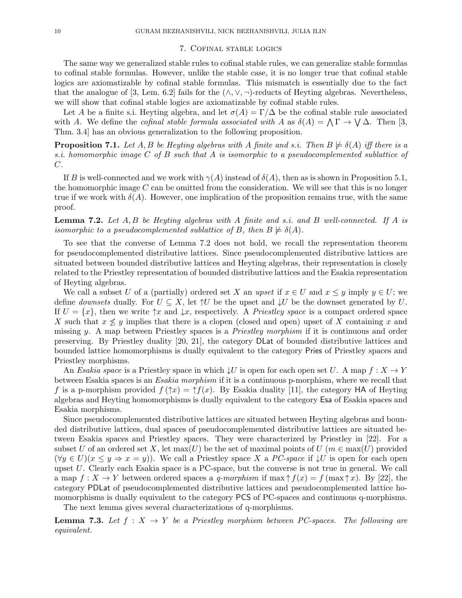### 7. Cofinal stable logics

The same way we generalized stable rules to cofinal stable rules, we can generalize stable formulas to cofinal stable formulas. However, unlike the stable case, it is no longer true that cofinal stable logics are axiomatizable by cofinal stable formulas. This mismatch is essentially due to the fact that the analogue of [3, Lem. 6.2] fails for the  $(\wedge, \vee, \neg)$ -reducts of Heyting algebras. Nevertheless, we will show that cofinal stable logics are axiomatizable by cofinal stable rules.

Let A be a finite s.i. Heyting algebra, and let  $\sigma(A) = \Gamma/\Delta$  be the cofinal stable rule associated with A. We define the *cofinal stable formula associated with* A as  $\delta(A) = \bigwedge \Gamma \to \bigvee \Delta$ . Then [3, Thm. 3.4] has an obvious generalization to the following proposition.

**Proposition 7.1.** Let A, B be Heyting algebras with A finite and s.i. Then  $B \not\models \delta(A)$  iff there is a s.i. homomorphic image C of B such that A is isomorphic to a pseudocomplemented sublattice of C.

If B is well-connected and we work with  $\gamma(A)$  instead of  $\delta(A)$ , then as is shown in Proposition 5.1, the homomorphic image  $C$  can be omitted from the consideration. We will see that this is no longer true if we work with  $\delta(A)$ . However, one implication of the proposition remains true, with the same proof.

**Lemma 7.2.** Let  $A, B$  be Heyting algebras with  $A$  finite and s.i. and  $B$  well-connected. If  $A$  is isomorphic to a pseudocomplemented sublattice of B, then  $B \not\models \delta(A)$ .

To see that the converse of Lemma 7.2 does not hold, we recall the representation theorem for pseudocomplemented distributive lattices. Since pseudocomplemented distributive lattices are situated between bounded distributive lattices and Heyting algebras, their representation is closely related to the Priestley representation of bounded distributive lattices and the Esakia representation of Heyting algebras.

We call a subset U of a (partially) ordered set X an upset if  $x \in U$  and  $x \leq y$  imply  $y \in U$ ; we define *downsets* dually. For  $U \subseteq X$ , let  $\uparrow U$  be the upset and  $\downarrow U$  be the downset generated by U. If  $U = \{x\}$ , then we write  $\uparrow x$  and  $\downarrow x$ , respectively. A Priestley space is a compact ordered space X such that  $x \nleq y$  implies that there is a clopen (closed and open) upset of X containing x and missing y. A map between Priestley spaces is a *Priestley morphism* if it is continuous and order preserving. By Priestley duality [20, 21], the category DLat of bounded distributive lattices and bounded lattice homomorphisms is dually equivalent to the category Pries of Priestley spaces and Priestley morphisms.

An Esakia space is a Priestley space in which  $\downarrow U$  is open for each open set U. A map  $f: X \to Y$ between Esakia spaces is an Esakia morphism if it is a continuous p-morphism, where we recall that f is a p-morphism provided  $f(\uparrow x) = \uparrow f(x)$ . By Esakia duality [11], the category HA of Heyting algebras and Heyting homomorphisms is dually equivalent to the category Esa of Esakia spaces and Esakia morphisms.

Since pseudocomplemented distributive lattices are situated between Heyting algebras and bounded distributive lattices, dual spaces of pseudocomplemented distributive lattices are situated between Esakia spaces and Priestley spaces. They were characterized by Priestley in [22]. For a subset U of an ordered set X, let  $\max(U)$  be the set of maximal points of  $U(m \in \max(U)$  provided  $(\forall y \in U)(x \leq y \Rightarrow x = y)$ ). We call a Priestley space X a PC-space if  $\downarrow U$  is open for each open upset U. Clearly each Esakia space is a PC-space, but the converse is not true in general. We call a map  $f: X \to Y$  between ordered spaces a q-morphism if max  $\uparrow f(x) = f(\max \uparrow x)$ . By [22], the category PDLat of pseudocomplemented distributive lattices and pseudocomplemented lattice homomorphisms is dually equivalent to the category PCS of PC-spaces and continuous q-morphisms.

The next lemma gives several characterizations of q-morphisms.

**Lemma 7.3.** Let  $f : X \rightarrow Y$  be a Priestley morphism between PC-spaces. The following are equivalent.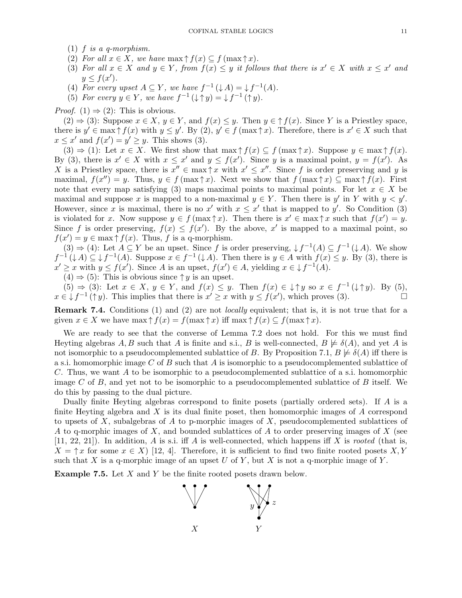- (1)  $f$  is a q-morphism.
- (2) For all  $x \in X$ , we have  $\max \uparrow f(x) \subseteq f(\max \uparrow x)$ .
- (3) For all  $x \in X$  and  $y \in Y$ , from  $f(x) \leq y$  it follows that there is  $x' \in X$  with  $x \leq x'$  and  $y \leq f(x')$ .
- (4) For every upset  $A \subseteq Y$ , we have  $f^{-1}(\downarrow A) = \downarrow f^{-1}(A)$ .
- (5) For every  $y \in Y$ , we have  $f^{-1}(\downarrow \uparrow y) = \downarrow f^{-1}(\uparrow y)$ .

*Proof.* (1)  $\Rightarrow$  (2): This is obvious.

 $(2) \Rightarrow (3)$ : Suppose  $x \in X$ ,  $y \in Y$ , and  $f(x) \leq y$ . Then  $y \in \uparrow f(x)$ . Since Y is a Priestley space, there is  $y' \in \max \uparrow f(x)$  with  $y \leq y'$ . By  $(2), y' \in f(\max \uparrow x)$ . Therefore, there is  $x' \in X$  such that  $x \leq x'$  and  $f(x') = y' \geq y$ . This shows (3).

 $(3) \Rightarrow (1)$ : Let  $x \in X$ . We first show that  $\max \uparrow f(x) \subseteq f(\max \uparrow x)$ . Suppose  $y \in \max \uparrow f(x)$ . By (3), there is  $x' \in X$  with  $x \leq x'$  and  $y \leq f(x')$ . Since y is a maximal point,  $y = f(x')$ . As X is a Priestley space, there is  $x'' \in \max \{\tau x \text{ with } x' \leq x''\}$ . Since f is order preserving and y is maximal,  $f(x'') = y$ . Thus,  $y \in f(\max \uparrow x)$ . Next we show that  $f(\max \uparrow x) \subseteq \max \uparrow f(x)$ . First note that every map satisfying (3) maps maximal points to maximal points. For let  $x \in X$  be maximal and suppose x is mapped to a non-maximal  $y \in Y$ . Then there is y' in Y with  $y \leq y'$ . However, since x is maximal, there is no x' with  $x \leq x'$  that is mapped to y'. So Condition (3) is violated for x. Now suppose  $y \in f(\max \uparrow x)$ . Then there is  $x' \in \max \uparrow x$  such that  $f(x') = y$ . Since f is order preserving,  $f(x) \leq f(x')$ . By the above, x' is mapped to a maximal point, so  $f(x') = y \in \max \uparrow f(x)$ . Thus, f is a q-morphism.

 $(3) \Rightarrow (4)$ : Let  $A \subseteq Y$  be an upset. Since f is order preserving,  $\downarrow f^{-1}(A) \subseteq f^{-1}(\downarrow A)$ . We show  $f^{-1}(\downarrow A) \subseteq \downarrow f^{-1}(A)$ . Suppose  $x \in f^{-1}(\downarrow A)$ . Then there is  $y \in A$  with  $f(x) \leq y$ . By (3), there is  $x' \geq x$  with  $y \leq f(x')$ . Since A is an upset,  $f(x') \in A$ , yielding  $x \in \downarrow f^{-1}(A)$ .

 $(4) \Rightarrow (5)$ : This is obvious since  $\uparrow y$  is an upset.

 $(5) \Rightarrow (3)$ : Let  $x \in X$ ,  $y \in Y$ , and  $f(x) \leq y$ . Then  $f(x) \in \mathcal{F}$  so  $x \in f^{-1}(\mathcal{F}y)$ . By (5),  $x \in \mathcal{L} f^{-1}(\uparrow y)$ . This implies that there is  $x' \geq x$  with  $y \leq f(x')$ , which proves (3).

Remark 7.4. Conditions (1) and (2) are not *locally* equivalent; that is, it is not true that for a given  $x \in X$  we have  $\max \uparrow f(x) = f(\max \uparrow x)$  iff  $\max \uparrow f(x) \subseteq f(\max \uparrow x)$ .

We are ready to see that the converse of Lemma 7.2 does not hold. For this we must find Heyting algebras A, B such that A is finite and s.i., B is well-connected,  $B \not\models \delta(A)$ , and yet A is not isomorphic to a pseudocomplemented sublattice of B. By Proposition 7.1,  $B \not\models \delta(A)$  iff there is a s.i. homomorphic image C of B such that A is isomorphic to a pseudocomplemented sublattice of C. Thus, we want A to be isomorphic to a pseudocomplemented sublattice of a s.i. homomorphic image C of B, and yet not to be isomorphic to a pseudocomplemented sublattice of B itself. We do this by passing to the dual picture.

Dually finite Heyting algebras correspond to finite posets (partially ordered sets). If A is a finite Heyting algebra and  $X$  is its dual finite poset, then homomorphic images of  $A$  correspond to upsets of X, subalgebras of A to p-morphic images of X, pseudocomplemented sublattices of A to q-morphic images of  $X$ , and bounded sublattices of  $A$  to order preserving images of  $X$  (see  $[11, 22, 21]$ ). In addition, A is s.i. iff A is well-connected, which happens iff X is rooted (that is,  $X = \uparrow x$  for some  $x \in X$  [12, 4]. Therefore, it is sufficient to find two finite rooted posets X, Y such that X is a q-morphic image of an upset U of Y, but X is not a q-morphic image of Y.

Example 7.5. Let X and Y be the finite rooted posets drawn below.

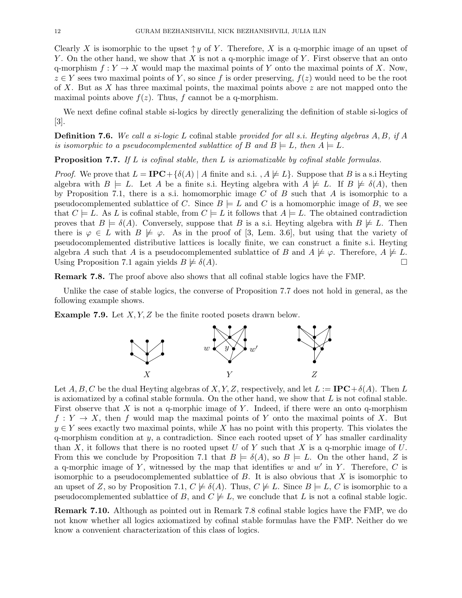Clearly X is isomorphic to the upset  $\uparrow y$  of Y. Therefore, X is a q-morphic image of an upset of Y. On the other hand, we show that X is not a q-morphic image of Y. First observe that an onto q-morphism  $f: Y \to X$  would map the maximal points of Y onto the maximal points of X. Now,  $z \in Y$  sees two maximal points of Y, so since f is order preserving,  $f(z)$  would need to be the root of X. But as X has three maximal points, the maximal points above z are not mapped onto the maximal points above  $f(z)$ . Thus, f cannot be a q-morphism.

We next define cofinal stable si-logics by directly generalizing the definition of stable si-logics of [3].

**Definition 7.6.** We call a si-logic L cofinal stable provided for all s.i. Heyting algebras  $A, B$ , if  $A$ is isomorphic to a pseudocomplemented sublattice of B and  $B \models L$ , then  $A \models L$ .

**Proposition 7.7.** If  $L$  is cofinal stable, then  $L$  is axiomatizable by cofinal stable formulas.

*Proof.* We prove that  $L = IPC + \{\delta(A) | A \text{ finite and s.i.}, A \neq L\}$ . Suppose that B is a s.i Heyting algebra with  $B \models L$ . Let A be a finite s.i. Heyting algebra with  $A \not\models L$ . If  $B \not\models \delta(A)$ , then by Proposition 7.1, there is a s.i. homomorphic image C of B such that A is isomorphic to a pseudocomplemented sublattice of C. Since  $B \models L$  and C is a homomorphic image of B, we see that  $C \models L$ . As L is cofinal stable, from  $C \models L$  it follows that  $A \models L$ . The obtained contradiction proves that  $B \models \delta(A)$ . Conversely, suppose that B is a s.i. Heyting algebra with  $B \not\models L$ . Then there is  $\varphi \in L$  with  $B \not\models \varphi$ . As in the proof of [3, Lem. 3.6], but using that the variety of pseudocomplemented distributive lattices is locally finite, we can construct a finite s.i. Heyting algebra A such that A is a pseudocomplemented sublattice of B and  $A \not\models \varphi$ . Therefore,  $A \not\models L$ . Using Proposition 7.1 again yields  $B \not\models \delta(A)$ .

Remark 7.8. The proof above also shows that all cofinal stable logics have the FMP.

Unlike the case of stable logics, the converse of Proposition 7.7 does not hold in general, as the following example shows.

**Example 7.9.** Let  $X, Y, Z$  be the finite rooted posets drawn below.



Let  $A, B, C$  be the dual Heyting algebras of X, Y, Z, respectively, and let  $L := \text{IPC} + \delta(A)$ . Then L is axiomatized by a cofinal stable formula. On the other hand, we show that  $L$  is not cofinal stable. First observe that X is not a q-morphic image of Y. Indeed, if there were an onto q-morphism  $f: Y \to X$ , then f would map the maximal points of Y onto the maximal points of X. But  $y \in Y$  sees exactly two maximal points, while X has no point with this property. This violates the q-morphism condition at  $y$ , a contradiction. Since each rooted upset of Y has smaller cardinality than X, it follows that there is no rooted upset U of Y such that X is a q-morphic image of U. From this we conclude by Proposition 7.1 that  $B \models \delta(A)$ , so  $B \models L$ . On the other hand, Z is a q-morphic image of Y, witnessed by the map that identifies w and w' in Y. Therefore, C is isomorphic to a pseudocomplemented sublattice of  $B$ . It is also obvious that  $X$  is isomorphic to an upset of Z, so by Proposition 7.1,  $C \not\models \delta(A)$ . Thus,  $C \not\models L$ . Since  $B \models L, C$  is isomorphic to a pseudocomplemented sublattice of B, and  $C \not\models L$ , we conclude that L is not a cofinal stable logic.

Remark 7.10. Although as pointed out in Remark 7.8 cofinal stable logics have the FMP, we do not know whether all logics axiomatized by cofinal stable formulas have the FMP. Neither do we know a convenient characterization of this class of logics.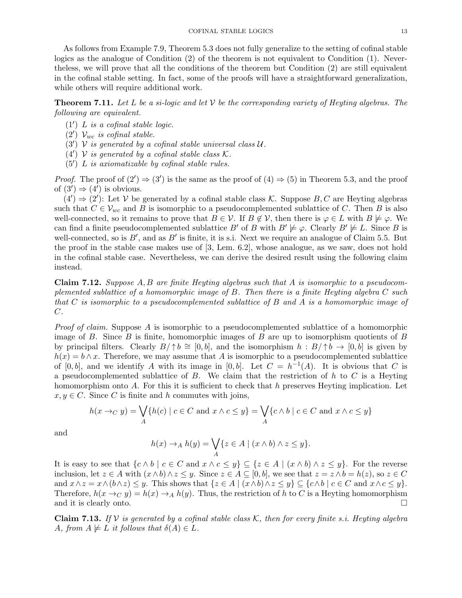As follows from Example 7.9, Theorem 5.3 does not fully generalize to the setting of cofinal stable logics as the analogue of Condition (2) of the theorem is not equivalent to Condition (1). Nevertheless, we will prove that all the conditions of the theorem but Condition (2) are still equivalent in the cofinal stable setting. In fact, some of the proofs will have a straightforward generalization, while others will require additional work.

**Theorem 7.11.** Let L be a si-logic and let V be the corresponding variety of Heyting algebras. The following are equivalent.

- $(1')$  *L* is a cofinal stable logic.
- $(2')$   $\mathcal{V}_{wc}$  is cofinal stable.
- $(3')$  V is generated by a cofinal stable universal class U.
- (4')  $V$  is generated by a cofinal stable class  $K$ .
- $(5')$  *L* is axiomatizable by cofinal stable rules.

*Proof.* The proof of  $(2') \Rightarrow (3')$  is the same as the proof of  $(4) \Rightarrow (5)$  in Theorem 5.3, and the proof of  $(3') \Rightarrow (4')$  is obvious.

 $(4') \Rightarrow (2')$ : Let V be generated by a cofinal stable class K. Suppose B, C are Heyting algebras such that  $C \in \mathcal{V}_{wc}$  and B is isomorphic to a pseudocomplemented sublattice of C. Then B is also well-connected, so it remains to prove that  $B \in V$ . If  $B \notin V$ , then there is  $\varphi \in L$  with  $B \not\models \varphi$ . We can find a finite pseudocomplemented sublattice B' of B with  $B' \not\models \varphi$ . Clearly  $B' \not\models L$ . Since B is well-connected, so is  $B'$ , and as  $B'$  is finite, it is s.i. Next we require an analogue of Claim 5.5. But the proof in the stable case makes use of [3, Lem. 6.2], whose analogue, as we saw, does not hold in the cofinal stable case. Nevertheless, we can derive the desired result using the following claim instead.

**Claim 7.12.** Suppose  $A, B$  are finite Heyting algebras such that  $A$  is isomorphic to a pseudocomplemented sublattice of a homomorphic image of B. Then there is a finite Heyting algebra C such that C is isomorphic to a pseudocomplemented sublattice of B and A is a homomorphic image of  $C$ .

Proof of claim. Suppose A is isomorphic to a pseudocomplemented sublattice of a homomorphic image of B. Since B is finite, homomorphic images of B are up to isomorphism quotients of B by principal filters. Clearly  $B/\uparrow b \cong [0, b]$ , and the isomorphism  $h : B/\uparrow b \to [0, b]$  is given by  $h(x) = b \wedge x$ . Therefore, we may assume that A is isomorphic to a pseudocomplemented sublattice of [0, b], and we identify A with its image in [0, b]. Let  $C = h^{-1}(A)$ . It is obvious that C is a pseudocomplemented sublattice of  $B$ . We claim that the restriction of  $h$  to  $C$  is a Heyting homomorphism onto  $A$ . For this it is sufficient to check that  $h$  preserves Heyting implication. Let  $x, y \in C$ . Since C is finite and h commutes with joins,

$$
h(x \to_C y) = \bigvee_A \{h(c) \mid c \in C \text{ and } x \wedge c \le y\} = \bigvee_A \{c \wedge b \mid c \in C \text{ and } x \wedge c \le y\}
$$

and

$$
h(x) \to_A h(y) = \bigvee_A \{ z \in A \mid (x \wedge b) \wedge z \leq y \}.
$$

It is easy to see that  $\{c \wedge b \mid c \in C \text{ and } x \wedge c \leq y\} \subseteq \{z \in A \mid (x \wedge b) \wedge z \leq y\}.$  For the reverse inclusion, let  $z \in A$  with  $(x \wedge b) \wedge z \leq y$ . Since  $z \in A \subseteq [0, b]$ , we see that  $z = z \wedge b = h(z)$ , so  $z \in C$ and  $x \wedge z = x \wedge (b \wedge z) \leq y$ . This shows that  $\{z \in A \mid (x \wedge b) \wedge z \leq y\} \subseteq \{c \wedge b \mid c \in C \text{ and } x \wedge c \leq y\}.$ Therefore,  $h(x \to_C y) = h(x) \to_A h(y)$ . Thus, the restriction of h to C is a Heyting homomorphism and it is clearly onto.

Claim 7.13. If V is generated by a cofinal stable class K, then for every finite s.i. Heyting algebra A, from  $A \not\models L$  it follows that  $\delta(A) \in L$ .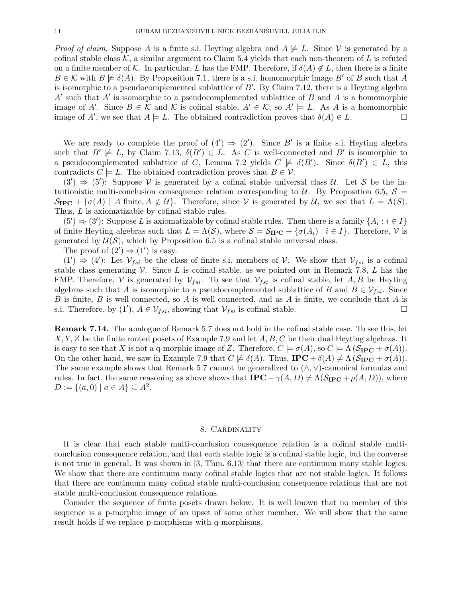*Proof of claim.* Suppose A is a finite s.i. Heyting algebra and  $A \not\models L$ . Since V is generated by a cofinal stable class  $K$ , a similar argument to Claim 5.4 yields that each non-theorem of L is refuted on a finite member of K. In particular, L has the FMP. Therefore, if  $\delta(A) \notin L$ , then there is a finite  $B \in \mathcal{K}$  with  $B \not\models \delta(A)$ . By Proposition 7.1, there is a s.i. homomorphic image B' of B such that A is isomorphic to a pseudocomplemented sublattice of  $B'$ . By Claim 7.12, there is a Heyting algebra  $A'$  such that  $A'$  is isomorphic to a pseudocomplemented sublattice of  $B$  and  $A$  is a homomorphic image of A'. Since  $B \in \mathcal{K}$  and  $\mathcal{K}$  is cofinal stable,  $A' \in \mathcal{K}$ , so  $A' \models L$ . As A is a homomorphic image of A', we see that  $A \models L$ . The obtained contradiction proves that  $\delta(A) \in L$ .

We are ready to complete the proof of  $(4') \Rightarrow (2')$ . Since B' is a finite s.i. Heyting algebra such that  $B' \not\models L$ , by Claim 7.13,  $\delta(B') \in L$ . As C is well-connected and B' is isomorphic to a pseudocomplemented sublattice of C, Lemma 7.2 yields  $C \not\models \delta(B')$ . Since  $\delta(B') \in L$ , this contradicts  $C \models L$ . The obtained contradiction proves that  $B \in \mathcal{V}$ .

 $(3') \Rightarrow (5')$ : Suppose V is generated by a cofinal stable universal class U. Let S be the intuitionistic multi-conclusion consequence relation corresponding to U. By Proposition 6.5,  $\mathcal{S} =$  $\mathcal{S}_{\text{IPC}} + \{\sigma(A) \mid A \text{ finite}, A \notin \mathcal{U}\}\$ . Therefore, since V is generated by U, we see that  $L = \Lambda(S)$ . Thus, L is axiomatizable by cofinal stable rules.

 $(5') \Rightarrow (3')$ : Suppose L is axiomatizable by cofinal stable rules. Then there is a family  $\{A_i : i \in I\}$ of finite Heyting algebras such that  $L = \Lambda(\mathcal{S})$ , where  $\mathcal{S} = \mathcal{S}_{\text{IPC}} + {\sigma(A_i) | i \in I}$ . Therefore,  $\mathcal{V}$  is generated by  $U(S)$ , which by Proposition 6.5 is a cofinal stable universal class.

The proof of  $(2') \Rightarrow (1')$  is easy.

 $(1') \Rightarrow (4')$ : Let  $\mathcal{V}_{fsi}$  be the class of finite s.i. members of V. We show that  $\mathcal{V}_{fsi}$  is a cofinal stable class generating  $\mathcal V$ . Since L is cofinal stable, as we pointed out in Remark 7.8, L has the FMP. Therefore, V is generated by  $\mathcal{V}_{fsi}$ . To see that  $\mathcal{V}_{fsi}$  is cofinal stable, let A, B be Heyting algebras such that A is isomorphic to a pseudocomplemented sublattice of B and  $B \in \mathcal{V}_{fsi}$ . Since B is finite, B is well-connected, so A is well-connected, and as A is finite, we conclude that A is s.i. Therefore, by (1'),  $A \in \mathcal{V}_{fsi}$ , showing that  $\mathcal{V}_{fsi}$  is cofinal stable.

Remark 7.14. The analogue of Remark 5.7 does not hold in the cofinal stable case. To see this, let  $X, Y, Z$  be the finite rooted posets of Example 7.9 and let  $A, B, C$  be their dual Heyting algebras. It is easy to see that X is not a q-morphic image of Z. Therefore,  $C \models \sigma(A)$ , so  $C \models \Lambda(\mathcal{S}_{\text{IPC}} + \sigma(A))$ . On the other hand, we saw in Example 7.9 that  $C \not\models \delta(A)$ . Thus,  $\text{IPC} + \delta(A) \neq \Lambda \left( \mathcal{S}_{\text{IPC}} + \sigma(A) \right)$ . The same example shows that Remark 5.7 cannot be generalized to  $(\wedge, \vee)$ -canonical formulas and rules. In fact, the same reasoning as above shows that  $\mathbf{IPC} + \gamma(A, D) \neq \Lambda(\mathcal{S}_{\mathbf{IPC}} + \rho(A, D))$ , where  $D := \{(a, 0) \mid a \in A\} \subseteq A^2$ .

#### 8. Cardinality

It is clear that each stable multi-conclusion consequence relation is a cofinal stable multiconclusion consequence relation, and that each stable logic is a cofinal stable logic, but the converse is not true in general. It was shown in [3, Thm. 6.13] that there are continuum many stable logics. We show that there are continuum many cofinal stable logics that are not stable logics. It follows that there are continuum many cofinal stable multi-conclusion consequence relations that are not stable multi-conclusion consequence relations.

Consider the sequence of finite posets drawn below. It is well known that no member of this sequence is a p-morphic image of an upset of some other member. We will show that the same result holds if we replace p-morphisms with q-morphisms.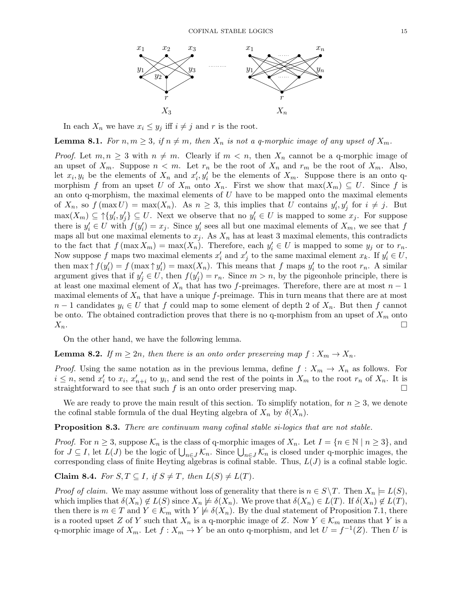

In each  $X_n$  we have  $x_i \leq y_i$  iff  $i \neq j$  and r is the root.

**Lemma 8.1.** For  $n, m \geq 3$ , if  $n \neq m$ , then  $X_n$  is not a q-morphic image of any upset of  $X_m$ .

*Proof.* Let  $m, n \geq 3$  with  $n \neq m$ . Clearly if  $m < n$ , then  $X_n$  cannot be a q-morphic image of an upset of  $X_m$ . Suppose  $n < m$ . Let  $r_n$  be the root of  $X_n$  and  $r_m$  be the root of  $X_m$ . Also, let  $x_i, y_i$  be the elements of  $X_n$  and  $x'_i, y'_i$  be the elements of  $X_m$ . Suppose there is an onto qmorphism f from an upset U of  $X_m$  onto  $X_n$ . First we show that  $\max(X_m) \subseteq U$ . Since f is an onto q-morphism, the maximal elements of  $U$  have to be mapped onto the maximal elements of  $X_n$ , so  $f(\max U) = \max(X_n)$ . As  $n \geq 3$ , this implies that U contains  $y'_i, y'_j$  for  $i \neq j$ . But  $\max(X_m) \subseteq \uparrow \{y'_i, y'_j\} \subseteq U$ . Next we observe that no  $y'_i \in U$  is mapped to some  $x_j$ . For suppose there is  $y_i' \in U$  with  $f(y_i') = x_j$ . Since  $y_i'$  sees all but one maximal elements of  $X_m$ , we see that f maps all but one maximal elements to  $x_j$ . As  $X_n$  has at least 3 maximal elements, this contradicts to the fact that  $f(\max X_m) = \max(X_n)$ . Therefore, each  $y'_i \in U$  is mapped to some  $y_j$  or to  $r_n$ . Now suppose f maps two maximal elements  $x'_i$  and  $x'_j$  to the same maximal element  $x_k$ . If  $y'_i \in U$ , then  $\max \uparrow f(y_i') = f(\max \uparrow y_i') = \max(X_n)$ . This means that f maps  $y_i'$  to the root  $r_n$ . A similar argument gives that if  $y'_j \in U$ , then  $f(y'_j) = r_n$ . Since  $m > n$ , by the pigeonhole principle, there is at least one maximal element of  $X_n$  that has two f-preimages. Therefore, there are at most  $n-1$ maximal elements of  $X_n$  that have a unique f-preimage. This in turn means that there are at most  $n-1$  candidates  $y_i \in U$  that f could map to some element of depth 2 of  $X_n$ . But then f cannot be onto. The obtained contradiction proves that there is no q-morphism from an upset of  $X_m$  onto  $X_n$ .

On the other hand, we have the following lemma.

## **Lemma 8.2.** If  $m \geq 2n$ , then there is an onto order preserving map  $f: X_m \to X_n$ .

*Proof.* Using the same notation as in the previous lemma, define  $f: X_m \to X_n$  as follows. For  $i \leq n$ , send  $x'_i$  to  $x_i$ ,  $x'_{n+i}$  to  $y_i$ , and send the rest of the points in  $X_m$  to the root  $r_n$  of  $X_n$ . It is straightforward to see that such f is an onto order preserving map.  $\Box$ 

We are ready to prove the main result of this section. To simplify notation, for  $n \geq 3$ , we denote the cofinal stable formula of the dual Heyting algebra of  $X_n$  by  $\delta(X_n)$ .

Proposition 8.3. There are continuum many cofinal stable si-logics that are not stable.

*Proof.* For  $n \geq 3$ , suppose  $\mathcal{K}_n$  is the class of q-morphic images of  $X_n$ . Let  $I = \{n \in \mathbb{N} \mid n \geq 3\}$ , and for  $J \subseteq I$ , let  $L(J)$  be the logic of  $\bigcup_{n \in J} \mathcal{K}_n$ . Since  $\bigcup_{n \in J} \mathcal{K}_n$  is closed under q-morphic images, the corresponding class of finite Heyting algebras is cofinal stable. Thus,  $L(J)$  is a cofinal stable logic.

Claim 8.4. For  $S, T \subseteq I$ , if  $S \neq T$ , then  $L(S) \neq L(T)$ .

*Proof of claim.* We may assume without loss of generality that there is  $n \in S \backslash T$ . Then  $X_n \models L(S)$ , which implies that  $\delta(X_n) \notin L(S)$  since  $X_n \not\models \delta(X_n)$ . We prove that  $\delta(X_n) \in L(T)$ . If  $\delta(X_n) \not\in L(T)$ , then there is  $m \in T$  and  $Y \in \mathcal{K}_m$  with  $Y \not\models \delta(X_n)$ . By the dual statement of Proposition 7.1, there is a rooted upset Z of Y such that  $X_n$  is a q-morphic image of Z. Now  $Y \in \mathcal{K}_m$  means that Y is a q-morphic image of  $X_m$ . Let  $f: X_m \to Y$  be an onto q-morphism, and let  $U = f^{-1}(Z)$ . Then U is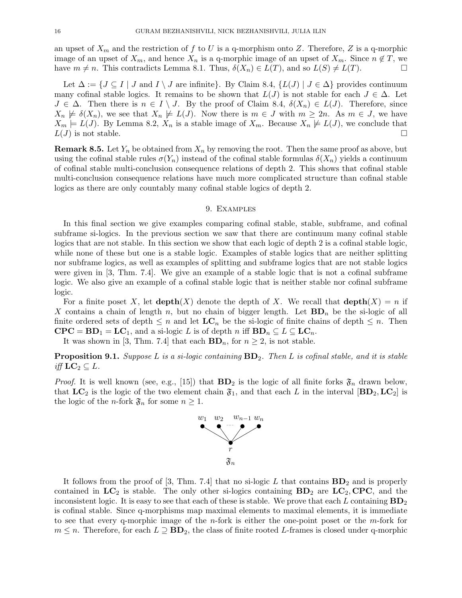an upset of  $X_m$  and the restriction of f to U is a q-morphism onto Z. Therefore, Z is a q-morphic image of an upset of  $X_m$ , and hence  $X_n$  is a q-morphic image of an upset of  $X_m$ . Since  $n \notin T$ , we have  $m \neq n$ . This contradicts Lemma 8.1. Thus,  $\delta(X_n) \in L(T)$ , and so  $L(S) \neq L(T)$ .

Let  $\Delta := \{ J \subseteq I \mid J \text{ and } I \setminus J \text{ are infinite} \}.$  By Claim 8.4,  $\{ L(J) \mid J \in \Delta \}$  provides continuum many cofinal stable logics. It remains to be shown that  $L(J)$  is not stable for each  $J \in \Delta$ . Let  $J \in \Delta$ . Then there is  $n \in I \setminus J$ . By the proof of Claim 8.4,  $\delta(X_n) \in L(J)$ . Therefore, since  $X_n \not\models \delta(X_n)$ , we see that  $X_n \not\models L(J)$ . Now there is  $m \in J$  with  $m \geq 2n$ . As  $m \in J$ , we have  $X_m \models L(J)$ . By Lemma 8.2,  $X_n$  is a stable image of  $X_m$ . Because  $X_n \not\models L(J)$ , we conclude that  $L(J)$  is not stable.

**Remark 8.5.** Let  $Y_n$  be obtained from  $X_n$  by removing the root. Then the same proof as above, but using the cofinal stable rules  $\sigma(Y_n)$  instead of the cofinal stable formulas  $\delta(X_n)$  yields a continuum of cofinal stable multi-conclusion consequence relations of depth 2. This shows that cofinal stable multi-conclusion consequence relations have much more complicated structure than cofinal stable logics as there are only countably many cofinal stable logics of depth 2.

#### 9. Examples

In this final section we give examples comparing cofinal stable, stable, subframe, and cofinal subframe si-logics. In the previous section we saw that there are continuum many cofinal stable logics that are not stable. In this section we show that each logic of depth 2 is a cofinal stable logic, while none of these but one is a stable logic. Examples of stable logics that are neither splitting nor subframe logics, as well as examples of splitting and subframe logics that are not stable logics were given in [3, Thm. 7.4]. We give an example of a stable logic that is not a cofinal subframe logic. We also give an example of a cofinal stable logic that is neither stable nor cofinal subframe logic.

For a finite poset X, let  $\text{depth}(X)$  denote the depth of X. We recall that  $\text{depth}(X) = n$  if X contains a chain of length n, but no chain of bigger length. Let  $BD_n$  be the si-logic of all finite ordered sets of depth  $\leq n$  and let  $LC_n$  be the si-logic of finite chains of depth  $\leq n$ . Then  $\mathbf{CPC} = \mathbf{BD}_1 = \mathbf{LC}_1$ , and a si-logic L is of depth n iff  $\mathbf{BD}_n \subseteq L \subseteq \mathbf{LC}_n$ .

It was shown in [3, Thm. 7.4] that each  $BD_n$ , for  $n \geq 2$ , is not stable.

**Proposition 9.1.** Suppose L is a si-logic containing  $BD_2$ . Then L is cofinal stable, and it is stable iff  $LC_2 \subseteq L$ .

*Proof.* It is well known (see, e.g., [15]) that  $BD_2$  is the logic of all finite forks  $\mathfrak{F}_n$  drawn below, that  $LC_2$  is the logic of the two element chain  $\mathfrak{F}_1$ , and that each L in the interval  $[BD_2, LC_2]$  is the logic of the *n*-fork  $\mathfrak{F}_n$  for some  $n \geq 1$ .



It follows from the proof of [3, Thm. 7.4] that no si-logic L that contains  $BD_2$  and is properly contained in  $LC_2$  is stable. The only other si-logics containing  $BD_2$  are  $LC_2$ , CPC, and the inconsistent logic. It is easy to see that each of these is stable. We prove that each L containing  $BD_2$ is cofinal stable. Since q-morphisms map maximal elements to maximal elements, it is immediate to see that every q-morphic image of the  $n$ -fork is either the one-point poset or the  $m$ -fork for  $m \leq n$ . Therefore, for each  $L \supseteq BD_2$ , the class of finite rooted L-frames is closed under q-morphic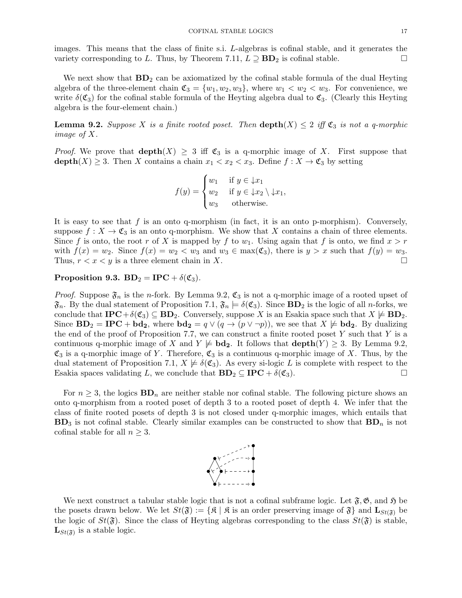images. This means that the class of finite s.i. L-algebras is cofinal stable, and it generates the variety corresponding to L. Thus, by Theorem 7.11,  $L \supseteq BD_2$  is cofinal stable.

We next show that  $BD_2$  can be axiomatized by the cofinal stable formula of the dual Heyting algebra of the three-element chain  $\mathfrak{C}_3 = \{w_1, w_2, w_3\}$ , where  $w_1 < w_2 < w_3$ . For convenience, we write  $\delta(\mathfrak{C}_3)$  for the cofinal stable formula of the Heyting algebra dual to  $\mathfrak{C}_3$ . (Clearly this Heyting algebra is the four-element chain.)

**Lemma 9.2.** Suppose X is a finite rooted poset. Then  $\text{depth}(X) \leq 2$  iff  $\mathfrak{C}_3$  is not a q-morphic image of X.

*Proof.* We prove that  $\text{depth}(X) \geq 3$  iff  $\mathfrak{C}_3$  is a q-morphic image of X. First suppose that  $\operatorname{depth}(X) \geq 3$ . Then X contains a chain  $x_1 < x_2 < x_3$ . Define  $f: X \to \mathfrak{C}_3$  by setting

$$
f(y) = \begin{cases} w_1 & \text{if } y \in \downarrow x_1 \\ w_2 & \text{if } y \in \downarrow x_2 \setminus \downarrow x_1, \\ w_3 & \text{otherwise.} \end{cases}
$$

It is easy to see that  $f$  is an onto q-morphism (in fact, it is an onto p-morphism). Conversely, suppose  $f: X \to \mathfrak{C}_3$  is an onto q-morphism. We show that X contains a chain of three elements. Since f is onto, the root r of X is mapped by f to  $w_1$ . Using again that f is onto, we find  $x > r$ with  $f(x) = w_2$ . Since  $f(x) = w_2 < w_3$  and  $w_3 \in \max(\mathfrak{C}_3)$ , there is  $y > x$  such that  $f(y) = w_3$ . Thus,  $r < x < y$  is a three element chain in X.

Proposition 9.3.  $BD_2 = IPC + \delta(\mathfrak{C}_3)$ .

*Proof.* Suppose  $\mathfrak{F}_n$  is the *n*-fork. By Lemma 9.2,  $\mathfrak{C}_3$  is not a q-morphic image of a rooted upset of  $\mathfrak{F}_n$ . By the dual statement of Proposition 7.1,  $\mathfrak{F}_n \models \delta(\mathfrak{C}_3)$ . Since  $BD_2$  is the logic of all *n*-forks, we conclude that  $\mathbf{IPC} + \delta(\mathfrak{C}_3) \subseteq \mathbf{BD}_2$ . Conversely, suppose X is an Esakia space such that  $X \not\models \mathbf{BD}_2$ . Since  $BD_2 = IPC + bd_2$ , where  $bd_2 = q \vee (q \rightarrow (p \vee \neg p))$ , we see that  $X \not\models bd_2$ . By dualizing the end of the proof of Proposition 7.7, we can construct a finite rooted poset  $Y$  such that  $Y$  is a continuous q-morphic image of X and  $Y \not\models \mathbf{bd}_2$ . It follows that  $\mathbf{depth}(Y) \geq 3$ . By Lemma 9.2,  $\mathfrak{C}_3$  is a q-morphic image of Y. Therefore,  $\mathfrak{C}_3$  is a continuous q-morphic image of X. Thus, by the dual statement of Proposition 7.1,  $X \not\models \delta(\mathfrak{C}_3)$ . As every si-logic L is complete with respect to the Esakia spaces validating L, we conclude that  $BD_2 \subseteq IPC + \delta(\mathfrak{C}_3)$ .

For  $n \geq 3$ , the logics  $BD_n$  are neither stable nor cofinal stable. The following picture shows an onto q-morphism from a rooted poset of depth 3 to a rooted poset of depth 4. We infer that the class of finite rooted posets of depth 3 is not closed under q-morphic images, which entails that  $BD_3$  is not cofinal stable. Clearly similar examples can be constructed to show that  $BD_n$  is not cofinal stable for all  $n \geq 3$ .



We next construct a tabular stable logic that is not a cofinal subframe logic. Let  $\mathfrak{F}, \mathfrak{G},$  and  $\mathfrak{H}$  be the posets drawn below. We let  $St(\mathfrak{F}) := \{ \mathfrak{K} \mid \mathfrak{K} \text{ is an order preserving image of } \mathfrak{F} \}$  and  $\mathbf{L}_{St(\mathfrak{F})}$  be the logic of  $St(\mathfrak{F})$ . Since the class of Heyting algebras corresponding to the class  $St(\mathfrak{F})$  is stable,  $\mathbf{L}_{St(\mathfrak{F})}$  is a stable logic.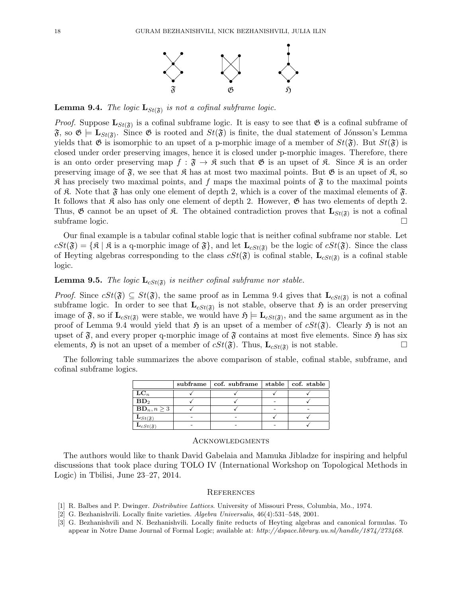

**Lemma 9.4.** The logic  $\mathbf{L}_{St(\mathfrak{F})}$  is not a cofinal subframe logic.

*Proof.* Suppose  $\mathbf{L}_{St(\mathfrak{F})}$  is a cofinal subframe logic. It is easy to see that  $\mathfrak{G}$  is a cofinal subframe of  $\mathfrak{F},$  so  $\mathfrak{G} \models L_{St(\mathfrak{F})}$ . Since  $\mathfrak{G}$  is rooted and  $St(\mathfrak{F})$  is finite, the dual statement of Jónsson's Lemma yields that  $\mathfrak{G}$  is isomorphic to an upset of a p-morphic image of a member of  $St(\mathfrak{F})$ . But  $St(\mathfrak{F})$  is closed under order preserving images, hence it is closed under p-morphic images. Therefore, there is an onto order preserving map  $f : \mathfrak{F} \to \mathfrak{K}$  such that  $\mathfrak{G}$  is an upset of  $\mathfrak{K}$ . Since  $\mathfrak{K}$  is an order preserving image of  $\mathfrak{F}$ , we see that  $\mathfrak{K}$  has at most two maximal points. But  $\mathfrak{G}$  is an upset of  $\mathfrak{K}$ , so  $\mathfrak K$  has precisely two maximal points, and f maps the maximal points of  $\mathfrak F$  to the maximal points of  $\mathfrak K$ . Note that  $\mathfrak F$  has only one element of depth 2, which is a cover of the maximal elements of  $\mathfrak F$ . It follows that  $\mathfrak K$  also has only one element of depth 2. However,  $\mathfrak G$  has two elements of depth 2. Thus,  $\mathfrak{G}$  cannot be an upset of  $\mathfrak{K}$ . The obtained contradiction proves that  $\mathbf{L}_{St(\mathfrak{F})}$  is not a cofinal subframe logic.

Our final example is a tabular cofinal stable logic that is neither cofinal subframe nor stable. Let  $cSt(\mathfrak{F}) = \{\mathfrak{K} \mid \mathfrak{K} \text{ is a q-morphic image of } \mathfrak{F}\}\$ , and let  $\mathbf{L}_{cSt(\mathfrak{F})}$  be the logic of  $cSt(\mathfrak{F})$ . Since the class of Heyting algebras corresponding to the class  $cSt(\mathfrak{F})$  is cofinal stable,  $\mathbf{L}_{cSt(\mathfrak{F})}$  is a cofinal stable logic.

# **Lemma 9.5.** The logic  $\mathbf{L}_{cSt(\mathfrak{F})}$  is neither cofinal subframe nor stable.

*Proof.* Since  $cSt(\mathfrak{F}) \subseteq St(\mathfrak{F})$ , the same proof as in Lemma 9.4 gives that  $\mathbf{L}_{cSt(\mathfrak{F})}$  is not a cofinal subframe logic. In order to see that  $\mathbf{L}_{cSt(\mathfrak{F})}$  is not stable, observe that  $\mathfrak{H}$  is an order preserving image of  $\mathfrak{F}$ , so if  $\mathbf{L}_{cSt(\mathfrak{F})}$  were stable, we would have  $\mathfrak{H} \models \mathbf{L}_{cSt(\mathfrak{F})}$ , and the same argument as in the proof of Lemma 9.4 would yield that  $\mathfrak{H}$  is an upset of a member of  $cSt(\mathfrak{F})$ . Clearly  $\mathfrak{H}$  is not an upset of  $\mathfrak{F}$ , and every proper q-morphic image of  $\mathfrak{F}$  contains at most five elements. Since  $\mathfrak{H}$  has six elements,  $\mathfrak{H}$  is not an upset of a member of  $cSt(\mathfrak{F})$ . Thus,  $\mathbf{L}_{cSt(\mathfrak{F})}$  is not stable.

The following table summarizes the above comparison of stable, cofinal stable, subframe, and cofinal subframe logics.

|                                                                        | subframe   cof. subframe   stable   cof. stable |  |
|------------------------------------------------------------------------|-------------------------------------------------|--|
| $\mathbf{LC}_n$                                                        |                                                 |  |
| $BD_2$                                                                 |                                                 |  |
| $\mathbf{BD}_n, n \geq 3$                                              |                                                 |  |
|                                                                        |                                                 |  |
| $\frac{\mathbf{L}_{St(\mathfrak{F})}}{\mathbf{L}_{cSt(\mathfrak{F})}}$ |                                                 |  |

#### **ACKNOWLEDGMENTS**

The authors would like to thank David Gabelaia and Mamuka Jibladze for inspiring and helpful discussions that took place during TOLO IV (International Workshop on Topological Methods in Logic) in Tbilisi, June 23–27, 2014.

#### **REFERENCES**

- [1] R. Balbes and P. Dwinger. Distributive Lattices. University of Missouri Press, Columbia, Mo., 1974.
- [2] G. Bezhanishvili. Locally finite varieties. Algebra Universalis, 46(4):531–548, 2001.
- [3] G. Bezhanishvili and N. Bezhanishvili. Locally finite reducts of Heyting algebras and canonical formulas. To appear in Notre Dame Journal of Formal Logic; available at: http://dspace.library.uu.nl/handle/1874/273468.